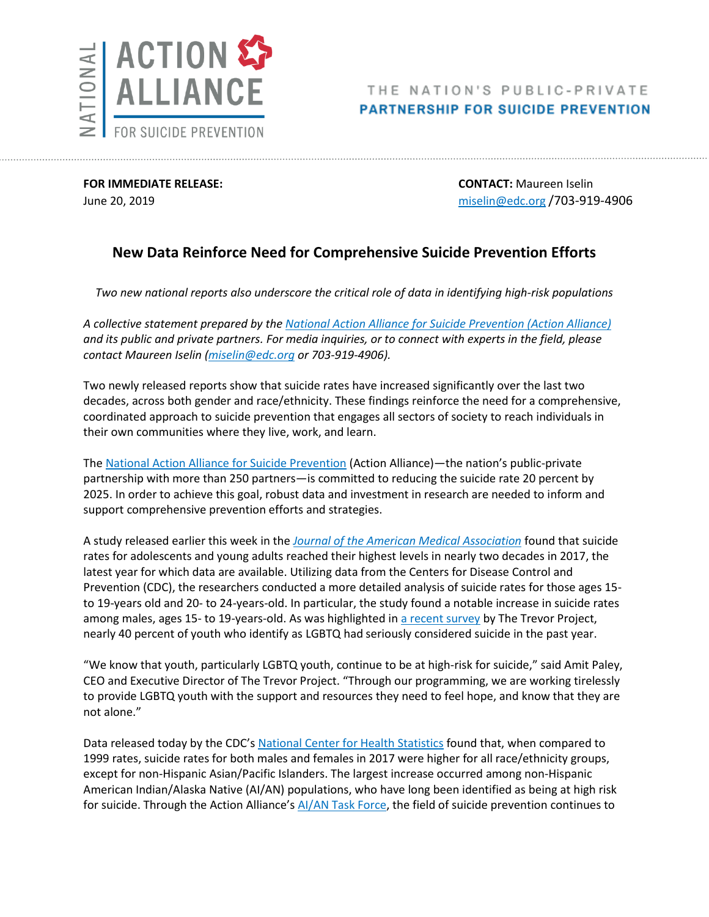

## THE NATION'S PUBLIC-PRIVATE **PARTNERSHIP FOR SUICIDE PREVENTION**

**FOR IMMEDIATE RELEASE: CONTACT:** Maureen Iselin

June 20, 2019 [miselin@edc.org](mailto:miselin@edc.org) /703-919-4906

## **New Data Reinforce Need for Comprehensive Suicide Prevention Efforts**

*Two new national reports also underscore the critical role of data in identifying high-risk populations* 

*A collective statement prepared by th[e National Action Alliance for Suicide Prevention \(Action Alliance\)](https://theactionalliance.org/) and its public and private partners. For media inquiries, or to connect with experts in the field, please contact Maureen Iselin [\(miselin@edc.org](mailto:miselin@edc.org) or 703-919-4906).*

Two newly released reports show that suicide rates have increased significantly over the last two decades, across both gender and race/ethnicity. These findings reinforce the need for a comprehensive, coordinated approach to suicide prevention that engages all sectors of society to reach individuals in their own communities where they live, work, and learn.

The [National Action Alliance for Suicide Prevention](https://theactionalliance.org/) (Action Alliance)—the nation's public-private partnership with more than 250 partners—is committed to reducing the suicide rate 20 percent by 2025. In order to achieve this goal, robust data and investment in research are needed to inform and support comprehensive prevention efforts and strategies.

A study released earlier this week in the *[Journal of the American Medical Association](https://jamanetwork.com/journals/jama/article-abstract/2735809)* found that suicide rates for adolescents and young adults reached their highest levels in nearly two decades in 2017, the latest year for which data are available. Utilizing data from the Centers for Disease Control and Prevention (CDC), the researchers conducted a more detailed analysis of suicide rates for those ages 15 to 19-years old and 20- to 24-years-old. In particular, the study found a notable increase in suicide rates among males, ages 15- to 19-years-old. As was highlighted in [a recent survey](https://www.thetrevorproject.org/wp-content/uploads/2019/06/The-Trevor-Project-National-Survey-Results-2019.pdf) by The Trevor Project, nearly 40 percent of youth who identify as LGBTQ had seriously considered suicide in the past year.

"We know that youth, particularly LGBTQ youth, continue to be at high-risk for suicide," said Amit Paley, CEO and Executive Director of The Trevor Project. "Through our programming, we are working tirelessly to provide LGBTQ youth with the support and resources they need to feel hope, and know that they are not alone."

Data released today by the CDC's [National Center for Health Statistics](https://www.cdc.gov/nchs/data/hestat/suicide/rates_1999_2017.htm) found that, when compared to 1999 rates, suicide rates for both males and females in 2017 were higher for all race/ethnicity groups, except for non-Hispanic Asian/Pacific Islanders. The largest increase occurred among non-Hispanic American Indian/Alaska Native (AI/AN) populations, who have long been identified as being at high risk for suicide. Through the Action Alliance's [AI/AN Task Force,](https://theactionalliance.org/task-force/american-indian-alaska-native) the field of suicide prevention continues to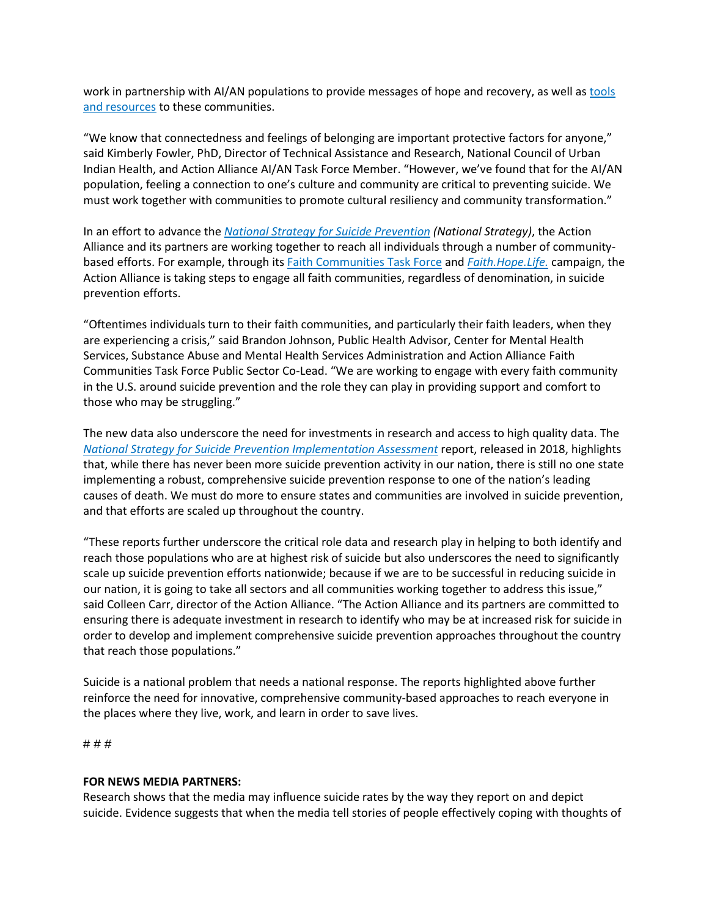work in partnership with AI/AN populations to provide messages of hope and recovery, as well as [tools](https://theactionalliance.org/communities/american-indian-alaska-native/hope-life-day)  [and resources](https://theactionalliance.org/communities/american-indian-alaska-native/hope-life-day) to these communities.

"We know that connectedness and feelings of belonging are important protective factors for anyone," said Kimberly Fowler, PhD, Director of Technical Assistance and Research, National Council of Urban Indian Health, and Action Alliance AI/AN Task Force Member. "However, we've found that for the AI/AN population, feeling a connection to one's culture and community are critical to preventing suicide. We must work together with communities to promote cultural resiliency and community transformation."

In an effort to advance the *[National Strategy for Suicide Prevention](https://theactionalliance.org/our-strategy/national-strategy-suicide-prevention) (National Strategy)*, the Action Alliance and its partners are working together to reach all individuals through a number of communitybased efforts. For example, through its [Faith Communities Task Force](https://theactionalliance.org/task-force/faith-communities) and *[Faith.Hope.Life.](https://theactionalliance.org/faith-hope-life)* campaign, the Action Alliance is taking steps to engage all faith communities, regardless of denomination, in suicide prevention efforts.

"Oftentimes individuals turn to their faith communities, and particularly their faith leaders, when they are experiencing a crisis," said Brandon Johnson, Public Health Advisor, Center for Mental Health Services, Substance Abuse and Mental Health Services Administration and Action Alliance Faith Communities Task Force Public Sector Co-Lead. "We are working to engage with every faith community in the U.S. around suicide prevention and the role they can play in providing support and comfort to those who may be struggling."

The new data also underscore the need for investments in research and access to high quality data. The *[National Strategy for Suicide Prevention Implementation Assessment](https://store.samhsa.gov/product/National-Strategy-for-Suicide-Prevention-Implementation-Assessment-Report/SMA17-5051)* report, released in 2018, highlights that, while there has never been more suicide prevention activity in our nation, there is still no one state implementing a robust, comprehensive suicide prevention response to one of the nation's leading causes of death. We must do more to ensure states and communities are involved in suicide prevention, and that efforts are scaled up throughout the country.

"These reports further underscore the critical role data and research play in helping to both identify and reach those populations who are at highest risk of suicide but also underscores the need to significantly scale up suicide prevention efforts nationwide; because if we are to be successful in reducing suicide in our nation, it is going to take all sectors and all communities working together to address this issue," said Colleen Carr, director of the Action Alliance. "The Action Alliance and its partners are committed to ensuring there is adequate investment in research to identify who may be at increased risk for suicide in order to develop and implement comprehensive suicide prevention approaches throughout the country that reach those populations."

Suicide is a national problem that needs a national response. The reports highlighted above further reinforce the need for innovative, comprehensive community-based approaches to reach everyone in the places where they live, work, and learn in order to save lives.

# # #

## **FOR NEWS MEDIA PARTNERS:**

Research shows that the media may influence suicide rates by the way they report on and depict suicide. Evidence suggests that when the media tell stories of people effectively coping with thoughts of